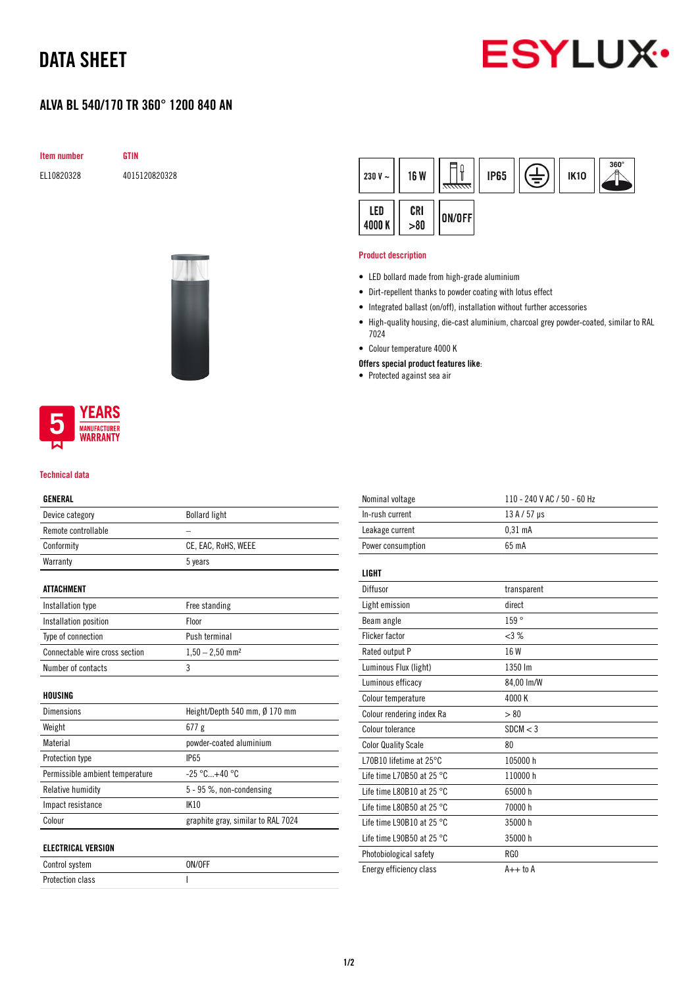## DATA SHEET



## ALVA BL 540/170 TR 360° 1200 840 AN

Item number GTIN

EL10820328 4015120820328



#### $360^\circ$ ון  $\widehat{\exists}$ 230 V  $\sim$ **16 W IP65 IK10** LED CRI ON/OFF 4000 K  $> 80$

#### Product description

- LED bollard made from high-grade aluminium
- Dirt-repellent thanks to powder coating with lotus effect
- Integrated ballast (on/off), installation without further accessories
- High-quality housing, die-cast aluminium, charcoal grey powder-coated, similar to RAL 7024
- Colour temperature 4000 K
- Offers special product features like:
- Protected against sea air



#### Technical data

### GENERAL

| Device category                 | <b>Bollard light</b>               |
|---------------------------------|------------------------------------|
| Remote controllable             |                                    |
| Conformity                      | CE, EAC, RoHS, WEEE                |
| Warranty                        | 5 years                            |
|                                 |                                    |
| <b>ATTACHMENT</b>               |                                    |
| Installation type               | Free standing                      |
| Installation position           | Floor                              |
| Type of connection              | Push terminal                      |
| Connectable wire cross section  | $1,50 - 2,50$ mm <sup>2</sup>      |
| Number of contacts              | 3                                  |
|                                 |                                    |
| HOUSING                         |                                    |
| Dimensions                      | Height/Depth 540 mm, Ø 170 mm      |
| Weight                          | 677g                               |
| Material                        | powder-coated aluminium            |
| Protection type                 | <b>IP65</b>                        |
| Permissible ambient temperature | $-25 °C+40 °C$                     |
| Relative humidity               | 5 - 95 %, non-condensing           |
| Impact resistance               | IK10                               |
| Colour                          | graphite gray, similar to RAL 7024 |
|                                 |                                    |
| <b>ELECTRICAL VERSION</b>       |                                    |
| Control system                  | ON/OFF                             |
| <b>Protection class</b>         | I                                  |

| Nominal voltage                     | 110 - 240 V AC / 50 - 60 Hz |
|-------------------------------------|-----------------------------|
| In-rush current                     | $13A/57$ µs                 |
| Leakage current                     | 0.31 <sub>m</sub> A         |
| Power consumption                   | 65 mA                       |
|                                     |                             |
| <b>LIGHT</b>                        |                             |
| Diffusor                            | transparent                 |
| Light emission                      | direct                      |
| Beam angle                          | 159°                        |
| Flicker factor                      | $<3\%$                      |
| Rated output P                      | 16 W                        |
| Luminous Flux (light)               | 1350 lm                     |
| Luminous efficacy                   | 84,00 lm/W                  |
| Colour temperature                  | 4000K                       |
| Colour rendering index Ra           | > 80                        |
| Colour tolerance                    | SDCM < 3                    |
| <b>Color Quality Scale</b>          | 80                          |
| L70B10 lifetime at $25^{\circ}$ C   | 105000 h                    |
| Life time L70B50 at 25 $^{\circ}$ C | 110000h                     |
| Life time L80B10 at 25 $^{\circ}$ C | 65000h                      |
| Life time L80B50 at 25 $^{\circ}$ C | 70000 h                     |
| Life time L90B10 at 25 $^{\circ}$ C | 35000 h                     |
| Life time L90B50 at 25 $^{\circ}$ C | 35000h                      |
| Photobiological safety              | RG0                         |
| Energy efficiency class             | $A++$ to $A$                |
|                                     |                             |